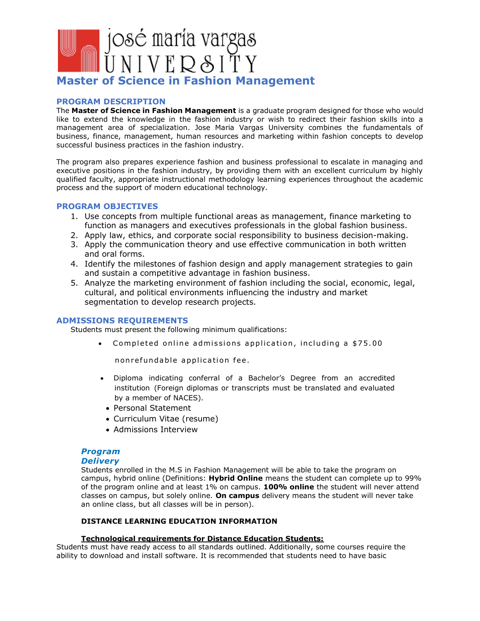

### **PROGRAM DESCRIPTION**

The **Master of Science in Fashion Management** is a graduate program designed for those who would like to extend the knowledge in the fashion industry or wish to redirect their fashion skills into a management area of specialization. Jose Maria Vargas University combines the fundamentals of business, finance, management, human resources and marketing within fashion concepts to develop successful business practices in the fashion industry.

The program also prepares experience fashion and business professional to escalate in managing and executive positions in the fashion industry, by providing them with an excellent curriculum by highly qualified faculty, appropriate instructional methodology learning experiences throughout the academic process and the support of modern educational technology.

### **PROGRAM OBJECTIVES**

- 1. Use concepts from multiple functional areas as management, finance marketing to function as managers and executives professionals in the global fashion business.
- 2. Apply law, ethics, and corporate social responsibility to business decision-making.
- 3. Apply the communication theory and use effective communication in both written and oral forms.
- 4. Identify the milestones of fashion design and apply management strategies to gain and sustain a competitive advantage in fashion business.
- 5. Analyze the marketing environment of fashion including the social, economic, legal, cultural, and political environments influencing the industry and market segmentation to develop research projects.

## **ADMISSIONS REQUIREMENTS**

Students must present the following minimum qualifications:

• Completed online admissions application, including a \$75.00

nonrefundable application fee.

- Diploma indicating conferral of a Bachelor's Degree from an accredited institution (Foreign diplomas or transcripts must be translated and evaluated by a member of NACES).
	- Personal Statement
	- Curriculum Vitae (resume)
	- Admissions Interview

# *Program*

### *Delivery*

Students enrolled in the M.S in Fashion Management will be able to take the program on campus, hybrid online (Definitions: **Hybrid Online** means the student can complete up to 99% of the program online and at least 1% on campus. **100% online** the student will never attend classes on campus, but solely online. **On campus** delivery means the student will never take an online class, but all classes will be in person).

## **DISTANCE LEARNING EDUCATION INFORMATION**

## **Technological requirements for Distance Education Students:**

Students must have ready access to all standards outlined. Additionally, some courses require the ability to download and install software. It is recommended that students need to have basic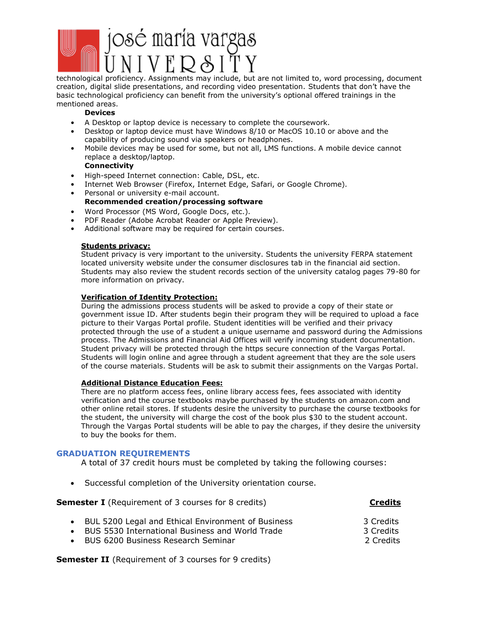

technological proficiency. Assignments may include, but are not limited to, word processing, document creation, digital slide presentations, and recording video presentation. Students that don't have the basic technological proficiency can benefit from the university's optional offered trainings in the mentioned areas.

## **Devices**

- A Desktop or laptop device is necessary to complete the coursework.
- Desktop or laptop device must have Windows 8/10 or MacOS 10.10 or above and the capability of producing sound via speakers or headphones.
- Mobile devices may be used for some, but not all, LMS functions. A mobile device cannot replace a desktop/laptop.

### **Connectivity**

- High-speed Internet connection: Cable, DSL, etc.
- Internet Web Browser (Firefox, Internet Edge, Safari, or Google Chrome).
- Personal or university e-mail account. **Recommended creation/processing software**
- Word Processor (MS Word, Google Docs, etc.).
- PDF Reader (Adobe Acrobat Reader or Apple Preview).
- Additional software may be required for certain courses.

## **Students privacy:**

Student privacy is very important to the university. Students the university FERPA statement located university website under the consumer disclosures tab in the financial aid section. Students may also review the student records section of the university catalog pages 79-80 for more information on privacy.

### **Verification of Identity Protection:**

During the admissions process students will be asked to provide a copy of their state or government issue ID. After students begin their program they will be required to upload a face picture to their Vargas Portal profile. Student identities will be verified and their privacy protected through the use of a student a unique username and password during the Admissions process. The Admissions and Financial Aid Offices will verify incoming student documentation. Student privacy will be protected through the https secure connection of the Vargas Portal. Students will login online and agree through a student agreement that they are the sole users of the course materials. Students will be ask to submit their assignments on the Vargas Portal.

### **Additional Distance Education Fees:**

There are no platform access fees, online library access fees, fees associated with identity verification and the course textbooks maybe purchased by the students on amazon.com and other online retail stores. If students desire the university to purchase the course textbooks for the student, the university will charge the cost of the book plus \$30 to the student account. Through the Vargas Portal students will be able to pay the charges, if they desire the university to buy the books for them.

## **GRADUATION REQUIREMENTS**

A total of 37 credit hours must be completed by taking the following courses:

• Successful completion of the University orientation course.

**Semester I** (Requirement of 3 courses for 8 credits) **Credits** • BUL 5200 Legal and Ethical Environment of Business 3 Credits • BUS 5530 International Business and World Trade 3 Credits • BUS 6200 Business Research Seminar 2 Credits

**Semester II** (Requirement of 3 courses for 9 credits)